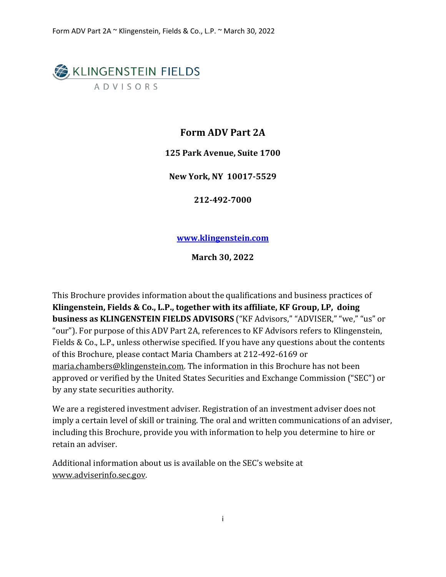# **EXACTED** KLINGENSTEIN FIELDS **ADVISORS**

# **Form ADV Part 2A**

**125 Park Avenue, Suite 1700**

**New York, NY 10017-5529**

**212-492-7000**

**www.klingenstein.com**

**March 30, 2022**

This Brochure provides information about the qualifications and business practices of **Klingenstein, Fields & Co., L.P., together with its affiliate, KF Group, LP, doing business as KLINGENSTEIN FIELDS ADVISORS** ("KF Advisors," "ADVISER," "we," "us" or "our"). For purpose of this ADV Part 2A, references to KF Advisors refers to Klingenstein, Fields & Co., L.P., unless otherwise specified. If you have any questions about the contents of this Brochure, please contact Maria Chambers at 212-492-6169 or maria.chambers@klingenstein.com. The information in this Brochure has not been approved or verified by the United States Securities and Exchange Commission ("SEC") or by any state securities authority.

We are a registered investment adviser. Registration of an investment adviser does not imply a certain level of skill or training. The oral and written communications of an adviser, including this Brochure, provide you with information to help you determine to hire or retain an adviser.

Additional information about us is available on the SEC's website at [www.adviserinfo.sec.gov.](http://www.adviserinfo.sec.gov/)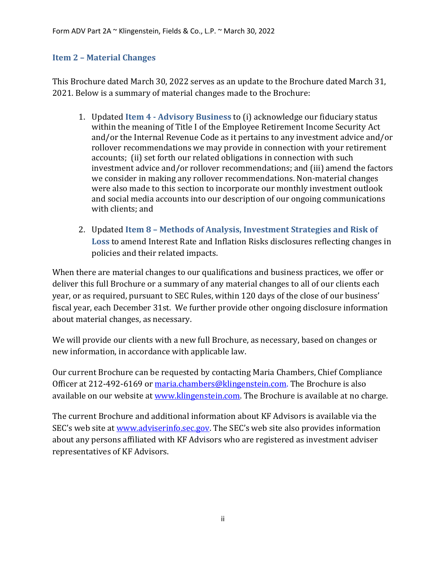#### <span id="page-1-0"></span>**Item 2 – Material Changes**

This Brochure dated March 30, 2022 serves as an update to the Brochure dated March 31, 2021. Below is a summary of material changes made to the Brochure:

- 1. Updated **Item 4 - Advisory Business** to (i) acknowledge our fiduciary status within the meaning of Title I of the Employee Retirement Income Security Act and/or the Internal Revenue Code as it pertains to any investment advice and/or rollover recommendations we may provide in connection with your retirement accounts; (ii) set forth our related obligations in connection with such investment advice and/or rollover recommendations; and (iii) amend the factors we consider in making any rollover recommendations. Non-material changes were also made to this section to incorporate our monthly investment outlook and social media accounts into our description of our ongoing communications with clients; and
- 2. Updated **Item 8 – Methods of Analysis, Investment Strategies and Risk of Loss** to amend Interest Rate and Inflation Risks disclosures reflecting changes in policies and their related impacts.

When there are material changes to our qualifications and business practices, we offer or deliver this full Brochure or a summary of any material changes to all of our clients each year, or as required, pursuant to SEC Rules, within 120 days of the close of our business' fiscal year, each December 31st. We further provide other ongoing disclosure information about material changes, as necessary.

We will provide our clients with a new full Brochure, as necessary, based on changes or new information, in accordance with applicable law.

Our current Brochure can be requested by contacting Maria Chambers, Chief Compliance Officer at 212-492-6169 or [maria.chambers@klingenstein.com.](mailto:info@klingenstein.com) The Brochure is also available on our website at www.klingenstein.com. The Brochure is available at no charge.

The current Brochure and additional information about KF Advisors is available via the SEC's web site at [www.adviserinfo.sec.gov.](http://www.adviserinfo.sec.gov/) The SEC's web site also provides information about any persons affiliated with KF Advisors who are registered as investment adviser representatives of KF Advisors.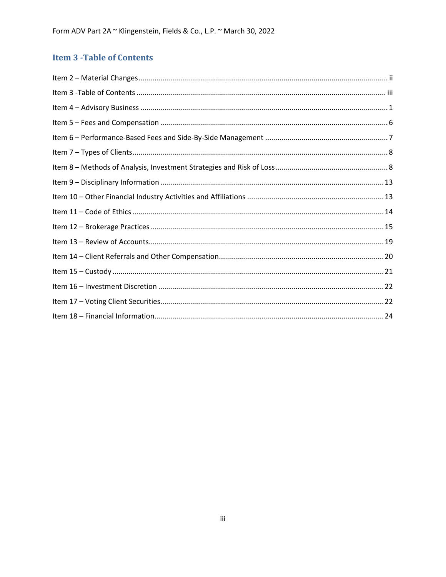# <span id="page-2-0"></span>**Item 3 - Table of Contents**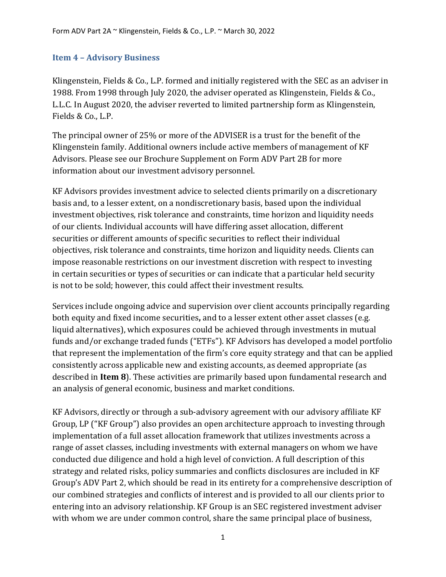#### <span id="page-3-0"></span>**Item 4 – Advisory Business**

Klingenstein, Fields & Co., L.P. formed and initially registered with the SEC as an adviser in 1988. From 1998 through July 2020, the adviser operated as Klingenstein, Fields & Co., L.L.C. In August 2020, the adviser reverted to limited partnership form as Klingenstein, Fields & Co., L.P.

The principal owner of 25% or more of the ADVISER is a trust for the benefit of the Klingenstein family. Additional owners include active members of management of KF Advisors. Please see our Brochure Supplement on Form ADV Part 2B for more information about our investment advisory personnel.

KF Advisors provides investment advice to selected clients primarily on a discretionary basis and, to a lesser extent, on a nondiscretionary basis, based upon the individual investment objectives, risk tolerance and constraints, time horizon and liquidity needs of our clients. Individual accounts will have differing asset allocation, different securities or different amounts of specific securities to reflect their individual objectives, risk tolerance and constraints, time horizon and liquidity needs. Clients can impose reasonable restrictions on our investment discretion with respect to investing in certain securities or types of securities or can indicate that a particular held security is not to be sold; however, this could affect their investment results.

Services include ongoing advice and supervision over client accounts principally regarding both equity and fixed income securities**,** and to a lesser extent other asset classes (e.g. liquid alternatives), which exposures could be achieved through investments in mutual funds and/or exchange traded funds ("ETFs"). KF Advisors has developed a model portfolio that represent the implementation of the firm's core equity strategy and that can be applied consistently across applicable new and existing accounts, as deemed appropriate (as described in **Item 8**). These activities are primarily based upon fundamental research and an analysis of general economic, business and market conditions.

KF Advisors, directly or through a sub-advisory agreement with our advisory affiliate KF Group, LP ("KF Group") also provides an open architecture approach to investing through implementation of a full asset allocation framework that utilizes investments across a range of asset classes, including investments with external managers on whom we have conducted due diligence and hold a high level of conviction. A full description of this strategy and related risks, policy summaries and conflicts disclosures are included in KF Group's ADV Part 2, which should be read in its entirety for a comprehensive description of our combined strategies and conflicts of interest and is provided to all our clients prior to entering into an advisory relationship. KF Group is an SEC registered investment adviser with whom we are under common control, share the same principal place of business,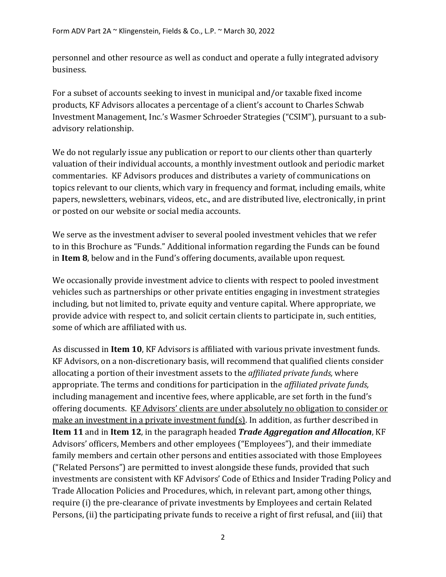personnel and other resource as well as conduct and operate a fully integrated advisory business.

For a subset of accounts seeking to invest in municipal and/or taxable fixed income products, KF Advisors allocates a percentage of a client's account to Charles Schwab Investment Management, Inc.'s Wasmer Schroeder Strategies ("CSIM"), pursuant to a subadvisory relationship.

We do not regularly issue any publication or report to our clients other than quarterly valuation of their individual accounts, a monthly investment outlook and periodic market commentaries. KF Advisors produces and distributes a variety of communications on topics relevant to our clients, which vary in frequency and format, including emails, white papers, newsletters, webinars, videos, etc., and are distributed live, electronically, in print or posted on our website or social media accounts.

We serve as the investment adviser to several pooled investment vehicles that we refer to in this Brochure as "Funds." Additional information regarding the Funds can be found in **Item 8**, below and in the Fund's offering documents, available upon request.

We occasionally provide investment advice to clients with respect to pooled investment vehicles such as partnerships or other private entities engaging in investment strategies including, but not limited to, private equity and venture capital. Where appropriate, we provide advice with respect to, and solicit certain clients to participate in, such entities, some of which are affiliated with us.

As discussed in **Item 10**, KF Advisors is affiliated with various private investment funds. KF Advisors, on a non-discretionary basis, will recommend that qualified clients consider allocating a portion of their investment assets to the *affiliated private funds,* where appropriate. The terms and conditions for participation in the *affiliated private funds,*  including management and incentive fees, where applicable, are set forth in the fund's offering documents. KF Advisors' clients are under absolutely no obligation to consider or make an investment in a private investment fund(s). In addition, as further described in **Item 11** and in **Item 12**, in the paragraph headed *Trade Aggregation and Allocation*, KF Advisors' officers, Members and other employees ("Employees"), and their immediate family members and certain other persons and entities associated with those Employees ("Related Persons") are permitted to invest alongside these funds, provided that such investments are consistent with KF Advisors' Code of Ethics and Insider Trading Policy and Trade Allocation Policies and Procedures, which, in relevant part, among other things, require (i) the pre-clearance of private investments by Employees and certain Related Persons, (ii) the participating private funds to receive a right of first refusal, and (iii) that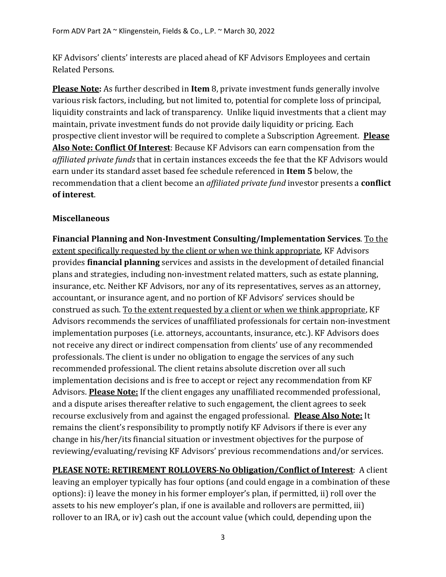KF Advisors' clients' interests are placed ahead of KF Advisors Employees and certain Related Persons.

**Please Note:** As further described in **Item** 8, private investment funds generally involve various risk factors, including, but not limited to, potential for complete loss of principal, liquidity constraints and lack of transparency. Unlike liquid investments that a client may maintain, private investment funds do not provide daily liquidity or pricing. Each prospective client investor will be required to complete a Subscription Agreement. **Please Also Note: Conflict Of Interest**: Because KF Advisors can earn compensation from the *affiliated private funds* that in certain instances exceeds the fee that the KF Advisors would earn under its standard asset based fee schedule referenced in **Item 5** below, the recommendation that a client become an *affiliated private fund* investor presents a **conflict of interest**.

## **Miscellaneous**

**Financial Planning and Non-Investment Consulting/Implementation Services**. To the extent specifically requested by the client or when we think appropriate, KF Advisors provides **financial planning** services and assists in the development of detailed financial plans and strategies, including non-investment related matters, such as estate planning, insurance, etc. Neither KF Advisors, nor any of its representatives, serves as an attorney, accountant, or insurance agent, and no portion of KF Advisors' services should be construed as such. To the extent requested by a client or when we think appropriate, KF Advisors recommends the services of unaffiliated professionals for certain non-investment implementation purposes (i.e. attorneys, accountants, insurance, etc.). KF Advisors does not receive any direct or indirect compensation from clients' use of any recommended professionals. The client is under no obligation to engage the services of any such recommended professional. The client retains absolute discretion over all such implementation decisions and is free to accept or reject any recommendation from KF Advisors. **Please Note:** If the client engages any unaffiliated recommended professional, and a dispute arises thereafter relative to such engagement, the client agrees to seek recourse exclusively from and against the engaged professional. **Please Also Note:** It remains the client's responsibility to promptly notify KF Advisors if there is ever any change in his/her/its financial situation or investment objectives for the purpose of reviewing/evaluating/revising KF Advisors' previous recommendations and/or services.

**PLEASE NOTE: RETIREMENT ROLLOVERS**-**No Obligation/Conflict of Interest**: A client leaving an employer typically has four options (and could engage in a combination of these options): i) leave the money in his former employer's plan, if permitted, ii) roll over the assets to his new employer's plan, if one is available and rollovers are permitted, iii) rollover to an IRA, or iv) cash out the account value (which could, depending upon the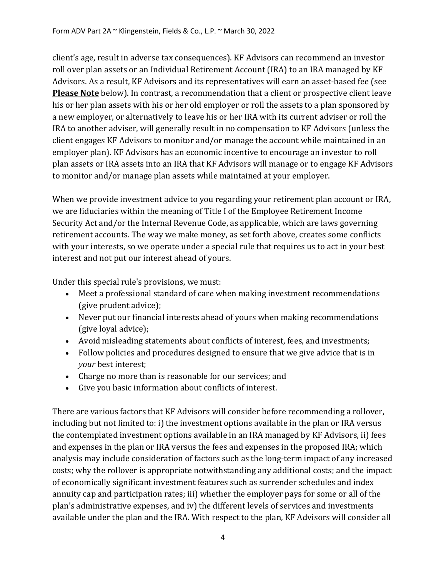client's age, result in adverse tax consequences). KF Advisors can recommend an investor roll over plan assets or an Individual Retirement Account (IRA) to an IRA managed by KF Advisors. As a result, KF Advisors and its representatives will earn an asset-based fee (see **Please Note** below). In contrast, a recommendation that a client or prospective client leave his or her plan assets with his or her old employer or roll the assets to a plan sponsored by a new employer, or alternatively to leave his or her IRA with its current adviser or roll the IRA to another adviser, will generally result in no compensation to KF Advisors (unless the client engages KF Advisors to monitor and/or manage the account while maintained in an employer plan). KF Advisors has an economic incentive to encourage an investor to roll plan assets or IRA assets into an IRA that KF Advisors will manage or to engage KF Advisors to monitor and/or manage plan assets while maintained at your employer.

When we provide investment advice to you regarding your retirement plan account or IRA, we are fiduciaries within the meaning of Title I of the Employee Retirement Income Security Act and/or the Internal Revenue Code, as applicable, which are laws governing retirement accounts. The way we make money, as set forth above, creates some conflicts with your interests, so we operate under a special rule that requires us to act in your best interest and not put our interest ahead of yours.

Under this special rule's provisions, we must:

- Meet a professional standard of care when making investment recommendations (give prudent advice);
- Never put our financial interests ahead of yours when making recommendations (give loyal advice);
- Avoid misleading statements about conflicts of interest, fees, and investments;
- Follow policies and procedures designed to ensure that we give advice that is in *your* best interest;
- Charge no more than is reasonable for our services; and
- Give you basic information about conflicts of interest.

There are various factors that KF Advisors will consider before recommending a rollover, including but not limited to: i) the investment options available in the plan or IRA versus the contemplated investment options available in an IRA managed by KF Advisors, ii) fees and expenses in the plan or IRA versus the fees and expenses in the proposed IRA; which analysis may include consideration of factors such as the long-term impact of any increased costs; why the rollover is appropriate notwithstanding any additional costs; and the impact of economically significant investment features such as surrender schedules and index annuity cap and participation rates; iii) whether the employer pays for some or all of the plan's administrative expenses, and iv) the different levels of services and investments available under the plan and the IRA. With respect to the plan, KF Advisors will consider all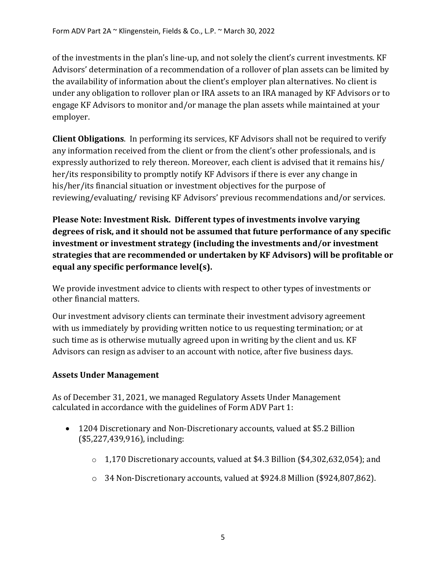of the investments in the plan's line-up, and not solely the client's current investments. KF Advisors' determination of a recommendation of a rollover of plan assets can be limited by the availability of information about the client's employer plan alternatives. No client is under any obligation to rollover plan or IRA assets to an IRA managed by KF Advisors or to engage KF Advisors to monitor and/or manage the plan assets while maintained at your employer.

**Client Obligations**. In performing its services, KF Advisors shall not be required to verify any information received from the client or from the client's other professionals, and is expressly authorized to rely thereon. Moreover, each client is advised that it remains his/ her/its responsibility to promptly notify KF Advisors if there is ever any change in his/her/its financial situation or investment objectives for the purpose of reviewing/evaluating/ revising KF Advisors' previous recommendations and/or services.

**Please Note: Investment Risk. Different types of investments involve varying degrees of risk, and it should not be assumed that future performance of any specific investment or investment strategy (including the investments and/or investment strategies that are recommended or undertaken by KF Advisors) will be profitable or equal any specific performance level(s).**

We provide investment advice to clients with respect to other types of investments or other financial matters.

Our investment advisory clients can terminate their investment advisory agreement with us immediately by providing written notice to us requesting termination; or at such time as is otherwise mutually agreed upon in writing by the client and us. KF Advisors can resign as adviser to an account with notice, after five business days.

#### **Assets Under Management**

As of December 31, 2021, we managed Regulatory Assets Under Management calculated in accordance with the guidelines of Form ADV Part 1:

- 1204 Discretionary and Non-Discretionary accounts, valued at \$5.2 Billion (\$5,227,439,916), including:
	- o 1,170 Discretionary accounts, valued at \$4.3 Billion (\$4,302,632,054); and
	- $\circ$  34 Non-Discretionary accounts, valued at \$924.8 Million (\$924,807,862).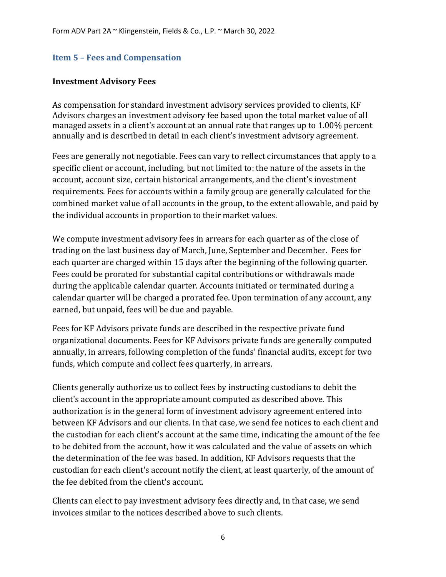#### <span id="page-8-0"></span>**Item 5 – Fees and Compensation**

#### **Investment Advisory Fees**

As compensation for standard investment advisory services provided to clients, KF Advisors charges an investment advisory fee based upon the total market value of all managed assets in a client's account at an annual rate that ranges up to 1.00% percent annually and is described in detail in each client's investment advisory agreement.

Fees are generally not negotiable. Fees can vary to reflect circumstances that apply to a specific client or account, including, but not limited to: the nature of the assets in the account, account size, certain historical arrangements, and the client's investment requirements. Fees for accounts within a family group are generally calculated for the combined market value of all accounts in the group, to the extent allowable, and paid by the individual accounts in proportion to their market values.

We compute investment advisory fees in arrears for each quarter as of the close of trading on the last business day of March, June, September and December. Fees for each quarter are charged within 15 days after the beginning of the following quarter. Fees could be prorated for substantial capital contributions or withdrawals made during the applicable calendar quarter. Accounts initiated or terminated during a calendar quarter will be charged a prorated fee. Upon termination of any account, any earned, but unpaid, fees will be due and payable.

Fees for KF Advisors private funds are described in the respective private fund organizational documents. Fees for KF Advisors private funds are generally computed annually, in arrears, following completion of the funds' financial audits, except for two funds, which compute and collect fees quarterly, in arrears.

Clients generally authorize us to collect fees by instructing custodians to debit the client's account in the appropriate amount computed as described above. This authorization is in the general form of investment advisory agreement entered into between KF Advisors and our clients. In that case, we send fee notices to each client and the custodian for each client's account at the same time, indicating the amount of the fee to be debited from the account, how it was calculated and the value of assets on which the determination of the fee was based. In addition, KF Advisors requests that the custodian for each client's account notify the client, at least quarterly, of the amount of the fee debited from the client's account.

Clients can elect to pay investment advisory fees directly and, in that case, we send invoices similar to the notices described above to such clients.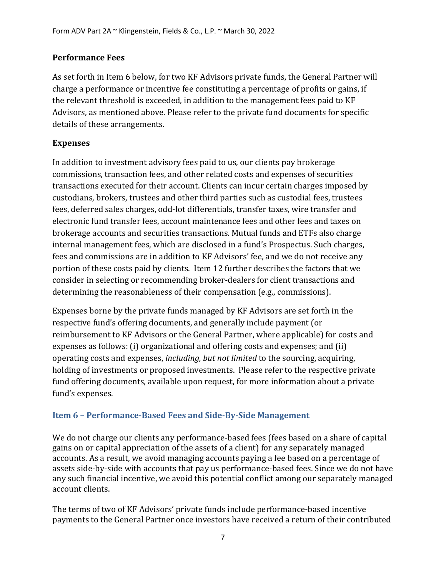#### **Performance Fees**

As set forth in Item 6 below, for two KF Advisors private funds, the General Partner will charge a performance or incentive fee constituting a percentage of profits or gains, if the relevant threshold is exceeded, in addition to the management fees paid to KF Advisors, as mentioned above. Please refer to the private fund documents for specific details of these arrangements.

#### **Expenses**

In addition to investment advisory fees paid to us, our clients pay brokerage commissions, transaction fees, and other related costs and expenses of securities transactions executed for their account. Clients can incur certain charges imposed by custodians, brokers, trustees and other third parties such as custodial fees, trustees fees, deferred sales charges, odd-lot differentials, transfer taxes, wire transfer and electronic fund transfer fees, account maintenance fees and other fees and taxes on brokerage accounts and securities transactions. Mutual funds and ETFs also charge internal management fees, which are disclosed in a fund's Prospectus. Such charges, fees and commissions are in addition to KF Advisors' fee, and we do not receive any portion of these costs paid by clients. Item 12 further describes the factors that we consider in selecting or recommending broker-dealers for client transactions and determining the reasonableness of their compensation (e.g., commissions).

Expenses borne by the private funds managed by KF Advisors are set forth in the respective fund's offering documents, and generally include payment (or reimbursement to KF Advisors or the General Partner, where applicable) for costs and expenses as follows: (i) organizational and offering costs and expenses; and (ii) operating costs and expenses, *including, but not limited* to the sourcing, acquiring, holding of investments or proposed investments. Please refer to the respective private fund offering documents, available upon request, for more information about a private fund's expenses.

#### <span id="page-9-0"></span>**Item 6 – Performance-Based Fees and Side-By-Side Management**

We do not charge our clients any performance-based fees (fees based on a share of capital gains on or capital appreciation of the assets of a client) for any separately managed accounts. As a result, we avoid managing accounts paying a fee based on a percentage of assets side-by-side with accounts that pay us performance-based fees. Since we do not have any such financial incentive, we avoid this potential conflict among our separately managed account clients.

The terms of two of KF Advisors' private funds include performance-based incentive payments to the General Partner once investors have received a return of their contributed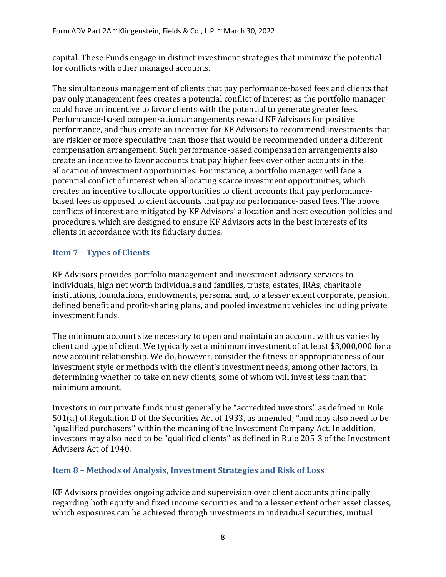capital. These Funds engage in distinct investment strategies that minimize the potential for conflicts with other managed accounts.

The simultaneous management of clients that pay performance-based fees and clients that pay only management fees creates a potential conflict of interest as the portfolio manager could have an incentive to favor clients with the potential to generate greater fees. Performance-based compensation arrangements reward KF Advisors for positive performance, and thus create an incentive for KF Advisors to recommend investments that are riskier or more speculative than those that would be recommended under a different compensation arrangement. Such performance-based compensation arrangements also create an incentive to favor accounts that pay higher fees over other accounts in the allocation of investment opportunities. For instance, a portfolio manager will face a potential conflict of interest when allocating scarce investment opportunities, which creates an incentive to allocate opportunities to client accounts that pay performancebased fees as opposed to client accounts that pay no performance-based fees. The above conflicts of interest are mitigated by KF Advisors' allocation and best execution policies and procedures, which are designed to ensure KF Advisors acts in the best interests of its clients in accordance with its fiduciary duties.

# <span id="page-10-0"></span>**Item 7 – Types of Clients**

KF Advisors provides portfolio management and investment advisory services to individuals, high net worth individuals and families, trusts, estates, IRAs, charitable institutions, foundations, endowments, personal and, to a lesser extent corporate, pension, defined benefit and profit-sharing plans, and pooled investment vehicles including private investment funds.

The minimum account size necessary to open and maintain an account with us varies by client and type of client. We typically set a minimum investment of at least \$3,000,000 for a new account relationship. We do, however, consider the fitness or appropriateness of our investment style or methods with the client's investment needs, among other factors, in determining whether to take on new clients, some of whom will invest less than that minimum amount.

Investors in our private funds must generally be "accredited investors" as defined in Rule 501(a) of Regulation D of the Securities Act of 1933, as amended; "and may also need to be "qualified purchasers" within the meaning of the Investment Company Act. In addition, investors may also need to be "qualified clients" as defined in Rule 205-3 of the Investment Advisers Act of 1940.

# <span id="page-10-1"></span>**Item 8 – Methods of Analysis, Investment Strategies and Risk of Loss**

KF Advisors provides ongoing advice and supervision over client accounts principally regarding both equity and fixed income securities and to a lesser extent other asset classes, which exposures can be achieved through investments in individual securities, mutual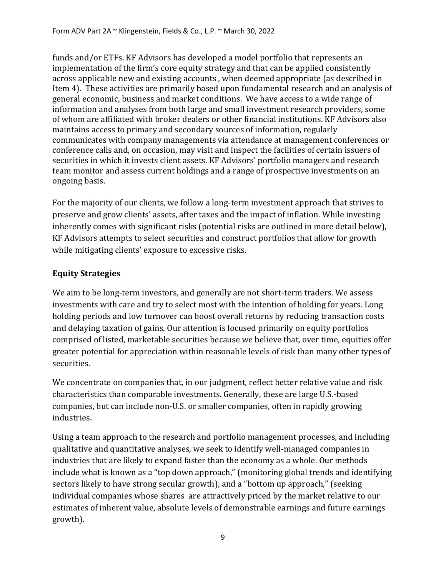funds and/or ETFs. KF Advisors has developed a model portfolio that represents an implementation of the firm's core equity strategy and that can be applied consistently across applicable new and existing accounts , when deemed appropriate (as described in Item 4). These activities are primarily based upon fundamental research and an analysis of general economic, business and market conditions. We have access to a wide range of information and analyses from both large and small investment research providers, some of whom are affiliated with broker dealers or other financial institutions. KF Advisors also maintains access to primary and secondary sources of information, regularly communicates with company managements via attendance at management conferences or conference calls and, on occasion, may visit and inspect the facilities of certain issuers of securities in which it invests client assets. KF Advisors' portfolio managers and research team monitor and assess current holdings and a range of prospective investments on an ongoing basis.

For the majority of our clients, we follow a long-term investment approach that strives to preserve and grow clients' assets, after taxes and the impact of inflation. While investing inherently comes with significant risks (potential risks are outlined in more detail below), KF Advisors attempts to select securities and construct portfolios that allow for growth while mitigating clients' exposure to excessive risks.

# **Equity Strategies**

We aim to be long-term investors, and generally are not short-term traders. We assess investments with care and try to select most with the intention of holding for years. Long holding periods and low turnover can boost overall returns by reducing transaction costs and delaying taxation of gains. Our attention is focused primarily on equity portfolios comprised of listed, marketable securities because we believe that, over time, equities offer greater potential for appreciation within reasonable levels of risk than many other types of securities.

We concentrate on companies that, in our judgment, reflect better relative value and risk characteristics than comparable investments. Generally, these are large U.S.-based companies, but can include non-U.S. or smaller companies, often in rapidly growing industries.

Using a team approach to the research and portfolio management processes, and including qualitative and quantitative analyses, we seek to identify well-managed companies in industries that are likely to expand faster than the economy as a whole. Our methods include what is known as a "top down approach," (monitoring global trends and identifying sectors likely to have strong secular growth), and a "bottom up approach," (seeking individual companies whose shares are attractively priced by the market relative to our estimates of inherent value, absolute levels of demonstrable earnings and future earnings growth).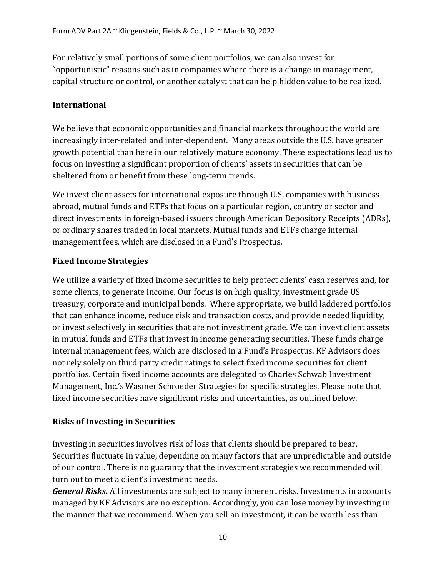For relatively small portions of some client portfolios, we can also invest for "opportunistic" reasons such as in companies where there is a change in management, capital structure or control, or another catalyst that can help hidden value to be realized.

## **International**

We believe that economic opportunities and financial markets throughout the world are increasingly inter-related and inter-dependent. Many areas outside the U.S. have greater growth potential than here in our relatively mature economy. These expectations lead us to focus on investing a significant proportion of clients' assets in securities that can be sheltered from or benefit from these long-term trends.

We invest client assets for international exposure through U.S. companies with business abroad, mutual funds and ETFs that focus on a particular region, country or sector and direct investments in foreign-based issuers through American Depository Receipts (ADRs), or ordinary shares traded in local markets. Mutual funds and ETFs charge internal management fees, which are disclosed in a Fund's Prospectus.

## **Fixed Income Strategies**

We utilize a variety of fixed income securities to help protect clients' cash reserves and, for some clients, to generate income. Our focus is on high quality, investment grade US treasury, corporate and municipal bonds. Where appropriate, we build laddered portfolios that can enhance income, reduce risk and transaction costs, and provide needed liquidity, or invest selectively in securities that are not investment grade. We can invest client assets in mutual funds and ETFs that invest in income generating securities. These funds charge internal management fees, which are disclosed in a Fund's Prospectus. KF Advisors does not rely solely on third party credit ratings to select fixed income securities for client portfolios. Certain fixed income accounts are delegated to Charles Schwab Investment Management, Inc.'s Wasmer Schroeder Strategies for specific strategies. Please note that fixed income securities have significant risks and uncertainties, as outlined below.

#### **Risks of Investing in Securities**

Investing in securities involves risk of loss that clients should be prepared to bear. Securities fluctuate in value, depending on many factors that are unpredictable and outside of our control. There is no guaranty that the investment strategies we recommended will turn out to meet a client's investment needs.

*General Risks***.** All investments are subject to many inherent risks. Investments in accounts managed by KF Advisors are no exception. Accordingly, you can lose money by investing in the manner that we recommend. When you sell an investment, it can be worth less than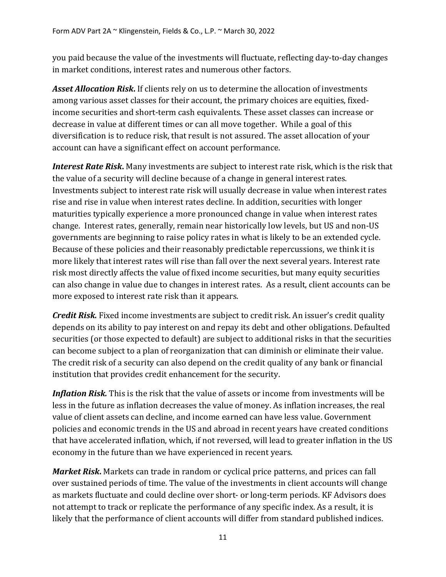you paid because the value of the investments will fluctuate, reflecting day-to-day changes in market conditions, interest rates and numerous other factors.

*Asset Allocation Risk***.** If clients rely on us to determine the allocation of investments among various asset classes for their account, the primary choices are equities, fixedincome securities and short-term cash equivalents. These asset classes can increase or decrease in value at different times or can all move together. While a goal of this diversification is to reduce risk, that result is not assured. The asset allocation of your account can have a significant effect on account performance.

*Interest Rate Risk***.** Many investments are subject to interest rate risk, which is the risk that the value of a security will decline because of a change in general interest rates. Investments subject to interest rate risk will usually decrease in value when interest rates rise and rise in value when interest rates decline. In addition, securities with longer maturities typically experience a more pronounced change in value when interest rates change. Interest rates, generally, remain near historically low levels, but US and non-US governments are beginning to raise policy rates in what is likely to be an extended cycle. Because of these policies and their reasonably predictable repercussions, we think it is more likely that interest rates will rise than fall over the next several years. Interest rate risk most directly affects the value of fixed income securities, but many equity securities can also change in value due to changes in interest rates. As a result, client accounts can be more exposed to interest rate risk than it appears.

*Credit Risk.* Fixed income investments are subject to credit risk. An issuer's credit quality depends on its ability to pay interest on and repay its debt and other obligations. Defaulted securities (or those expected to default) are subject to additional risks in that the securities can become subject to a plan of reorganization that can diminish or eliminate their value. The credit risk of a security can also depend on the credit quality of any bank or financial institution that provides credit enhancement for the security.

*Inflation Risk.* This is the risk that the value of assets or income from investments will be less in the future as inflation decreases the value of money. As inflation increases, the real value of client assets can decline, and income earned can have less value. Government policies and economic trends in the US and abroad in recent years have created conditions that have accelerated inflation, which, if not reversed, will lead to greater inflation in the US economy in the future than we have experienced in recent years.

*Market Risk***.** Markets can trade in random or cyclical price patterns, and prices can fall over sustained periods of time. The value of the investments in client accounts will change as markets fluctuate and could decline over short- or long-term periods. KF Advisors does not attempt to track or replicate the performance of any specific index. As a result, it is likely that the performance of client accounts will differ from standard published indices.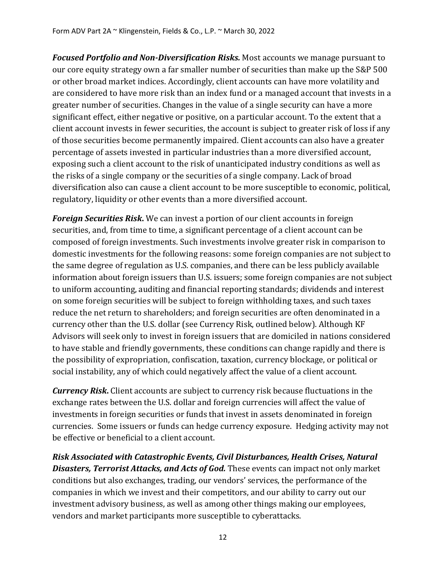*Focused Portfolio and Non-Diversification Risks.* Most accounts we manage pursuant to our core equity strategy own a far smaller number of securities than make up the S&P 500 or other broad market indices. Accordingly, client accounts can have more volatility and are considered to have more risk than an index fund or a managed account that invests in a greater number of securities. Changes in the value of a single security can have a more significant effect, either negative or positive, on a particular account. To the extent that a client account invests in fewer securities, the account is subject to greater risk of loss if any of those securities become permanently impaired. Client accounts can also have a greater percentage of assets invested in particular industries than a more diversified account, exposing such a client account to the risk of unanticipated industry conditions as well as the risks of a single company or the securities of a single company. Lack of broad diversification also can cause a client account to be more susceptible to economic, political, regulatory, liquidity or other events than a more diversified account.

*Foreign Securities Risk***.** We can invest a portion of our client accounts in foreign securities, and, from time to time, a significant percentage of a client account can be composed of foreign investments. Such investments involve greater risk in comparison to domestic investments for the following reasons: some foreign companies are not subject to the same degree of regulation as U.S. companies, and there can be less publicly available information about foreign issuers than U.S. issuers; some foreign companies are not subject to uniform accounting, auditing and financial reporting standards; dividends and interest on some foreign securities will be subject to foreign withholding taxes, and such taxes reduce the net return to shareholders; and foreign securities are often denominated in a currency other than the U.S. dollar (see Currency Risk, outlined below). Although KF Advisors will seek only to invest in foreign issuers that are domiciled in nations considered to have stable and friendly governments, these conditions can change rapidly and there is the possibility of expropriation, confiscation, taxation, currency blockage, or political or social instability, any of which could negatively affect the value of a client account.

*Currency Risk***.** Client accounts are subject to currency risk because fluctuations in the exchange rates between the U.S. dollar and foreign currencies will affect the value of investments in foreign securities or funds that invest in assets denominated in foreign currencies. Some issuers or funds can hedge currency exposure. Hedging activity may not be effective or beneficial to a client account.

*Risk Associated with Catastrophic Events, Civil Disturbances, Health Crises, Natural Disasters, Terrorist Attacks, and Acts of God.* These events can impact not only market conditions but also exchanges, trading, our vendors' services, the performance of the companies in which we invest and their competitors, and our ability to carry out our investment advisory business, as well as among other things making our employees, vendors and market participants more susceptible to cyberattacks.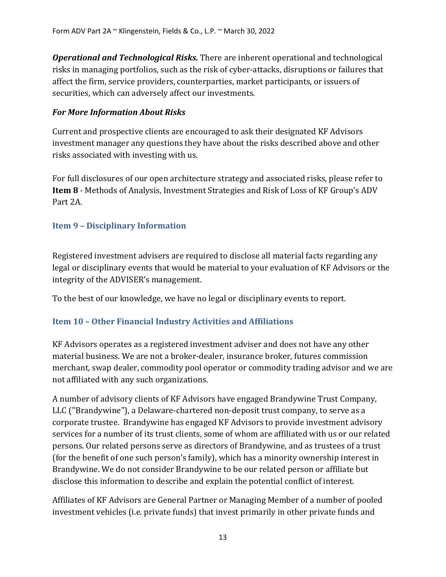*Operational and Technological Risks.* There are inherent operational and technological risks in managing portfolios, such as the risk of cyber-attacks, disruptions or failures that affect the firm, service providers, counterparties, market participants, or issuers of securities, which can adversely affect our investments.

#### *For More Information About Risks*

Current and prospective clients are encouraged to ask their designated KF Advisors investment manager any questions they have about the risks described above and other risks associated with investing with us.

For full disclosures of our open architecture strategy and associated risks, please refer to **Item 8** - Methods of Analysis, Investment Strategies and Risk of Loss of KF Group's ADV Part 2A.

#### <span id="page-15-0"></span>**Item 9 – Disciplinary Information**

Registered investment advisers are required to disclose all material facts regarding any legal or disciplinary events that would be material to your evaluation of KF Advisors or the integrity of the ADVISER's management.

To the best of our knowledge, we have no legal or disciplinary events to report.

#### <span id="page-15-1"></span>**Item 10 – Other Financial Industry Activities and Affiliations**

KF Advisors operates as a registered investment adviser and does not have any other material business. We are not a broker-dealer, insurance broker, futures commission merchant, swap dealer, commodity pool operator or commodity trading advisor and we are not affiliated with any such organizations.

A number of advisory clients of KF Advisors have engaged Brandywine Trust Company, LLC ("Brandywine"), a Delaware-chartered non-deposit trust company, to serve as a corporate trustee. Brandywine has engaged KF Advisors to provide investment advisory services for a number of its trust clients, some of whom are affiliated with us or our related persons. Our related persons serve as directors of Brandywine, and as trustees of a trust (for the benefit of one such person's family), which has a minority ownership interest in Brandywine. We do not consider Brandywine to be our related person or affiliate but disclose this information to describe and explain the potential conflict of interest.

Affiliates of KF Advisors are General Partner or Managing Member of a number of pooled investment vehicles (i.e. private funds) that invest primarily in other private funds and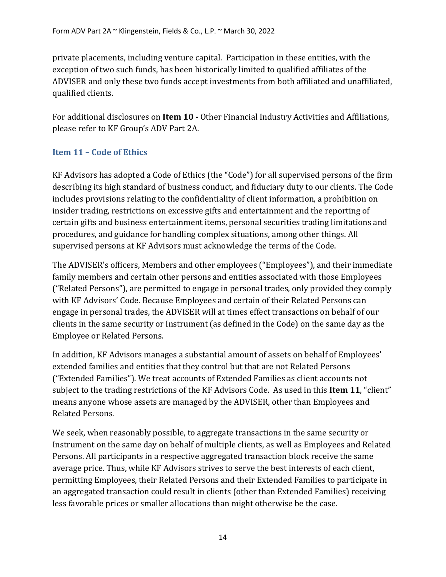private placements, including venture capital. Participation in these entities, with the exception of two such funds, has been historically limited to qualified affiliates of the ADVISER and only these two funds accept investments from both affiliated and unaffiliated, qualified clients.

For additional disclosures on **Item 10 -** Other Financial Industry Activities and Affiliations, please refer to KF Group's ADV Part 2A.

# <span id="page-16-0"></span>**Item 11 – Code of Ethics**

KF Advisors has adopted a Code of Ethics (the "Code") for all supervised persons of the firm describing its high standard of business conduct, and fiduciary duty to our clients. The Code includes provisions relating to the confidentiality of client information, a prohibition on insider trading, restrictions on excessive gifts and entertainment and the reporting of certain gifts and business entertainment items, personal securities trading limitations and procedures, and guidance for handling complex situations, among other things. All supervised persons at KF Advisors must acknowledge the terms of the Code.

The ADVISER's officers, Members and other employees ("Employees"), and their immediate family members and certain other persons and entities associated with those Employees ("Related Persons"), are permitted to engage in personal trades, only provided they comply with KF Advisors' Code. Because Employees and certain of their Related Persons can engage in personal trades, the ADVISER will at times effect transactions on behalf of our clients in the same security or Instrument (as defined in the Code) on the same day as the Employee or Related Persons.

In addition, KF Advisors manages a substantial amount of assets on behalf of Employees' extended families and entities that they control but that are not Related Persons ("Extended Families"). We treat accounts of Extended Families as client accounts not subject to the trading restrictions of the KF Advisors Code. As used in this **Item 11**, "client" means anyone whose assets are managed by the ADVISER, other than Employees and Related Persons.

We seek, when reasonably possible, to aggregate transactions in the same security or Instrument on the same day on behalf of multiple clients, as well as Employees and Related Persons. All participants in a respective aggregated transaction block receive the same average price. Thus, while KF Advisors strives to serve the best interests of each client, permitting Employees, their Related Persons and their Extended Families to participate in an aggregated transaction could result in clients (other than Extended Families) receiving less favorable prices or smaller allocations than might otherwise be the case.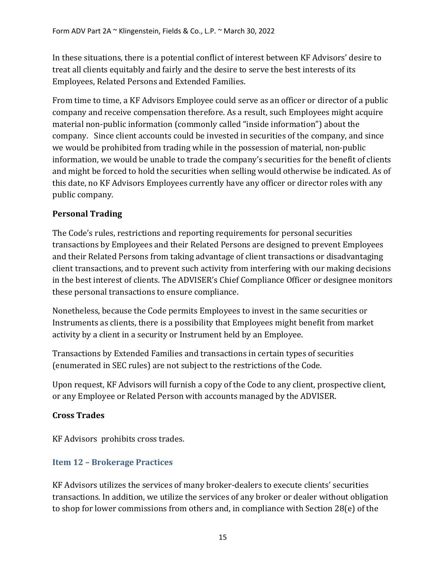In these situations, there is a potential conflict of interest between KF Advisors' desire to treat all clients equitably and fairly and the desire to serve the best interests of its Employees, Related Persons and Extended Families.

From time to time, a KF Advisors Employee could serve as an officer or director of a public company and receive compensation therefore. As a result, such Employees might acquire material non-public information (commonly called "inside information") about the company. Since client accounts could be invested in securities of the company, and since we would be prohibited from trading while in the possession of material, non-public information, we would be unable to trade the company's securities for the benefit of clients and might be forced to hold the securities when selling would otherwise be indicated. As of this date, no KF Advisors Employees currently have any officer or director roles with any public company.

# **Personal Trading**

The Code's rules, restrictions and reporting requirements for personal securities transactions by Employees and their Related Persons are designed to prevent Employees and their Related Persons from taking advantage of client transactions or disadvantaging client transactions, and to prevent such activity from interfering with our making decisions in the best interest of clients. The ADVISER's Chief Compliance Officer or designee monitors these personal transactions to ensure compliance.

Nonetheless, because the Code permits Employees to invest in the same securities or Instruments as clients, there is a possibility that Employees might benefit from market activity by a client in a security or Instrument held by an Employee.

Transactions by Extended Families and transactions in certain types of securities (enumerated in SEC rules) are not subject to the restrictions of the Code.

Upon request, KF Advisors will furnish a copy of the Code to any client, prospective client, or any Employee or Related Person with accounts managed by the ADVISER.

# **Cross Trades**

KF Advisors prohibits cross trades.

# <span id="page-17-0"></span>**Item 12 – Brokerage Practices**

KF Advisors utilizes the services of many broker-dealers to execute clients' securities transactions. In addition, we utilize the services of any broker or dealer without obligation to shop for lower commissions from others and, in compliance with Section 28(e) of the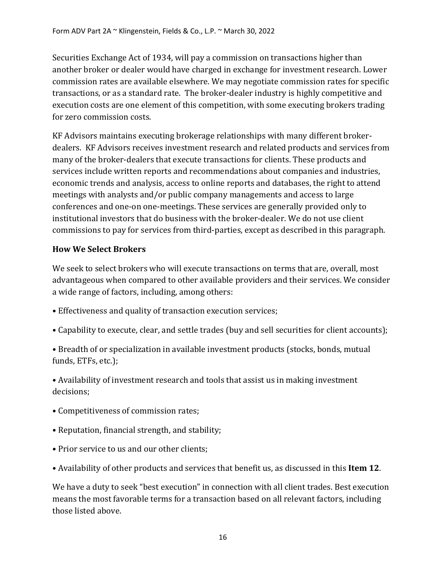Securities Exchange Act of 1934, will pay a commission on transactions higher than another broker or dealer would have charged in exchange for investment research. Lower commission rates are available elsewhere. We may negotiate commission rates for specific transactions, or as a standard rate. The broker-dealer industry is highly competitive and execution costs are one element of this competition, with some executing brokers trading for zero commission costs.

KF Advisors maintains executing brokerage relationships with many different brokerdealers. KF Advisors receives investment research and related products and services from many of the broker-dealers that execute transactions for clients. These products and services include written reports and recommendations about companies and industries, economic trends and analysis, access to online reports and databases, the right to attend meetings with analysts and/or public company managements and access to large conferences and one-on one-meetings. These services are generally provided only to institutional investors that do business with the broker-dealer. We do not use client commissions to pay for services from third-parties, except as described in this paragraph.

## **How We Select Brokers**

We seek to select brokers who will execute transactions on terms that are, overall, most advantageous when compared to other available providers and their services. We consider a wide range of factors, including, among others:

- Effectiveness and quality of transaction execution services;
- Capability to execute, clear, and settle trades (buy and sell securities for client accounts);
- Breadth of or specialization in available investment products (stocks, bonds, mutual funds, ETFs, etc.);

• Availability of investment research and tools that assist us in making investment decisions;

- Competitiveness of commission rates;
- Reputation, financial strength, and stability;
- Prior service to us and our other clients;
- Availability of other products and services that benefit us, as discussed in this **Item 12**.

We have a duty to seek "best execution" in connection with all client trades. Best execution means the most favorable terms for a transaction based on all relevant factors, including those listed above.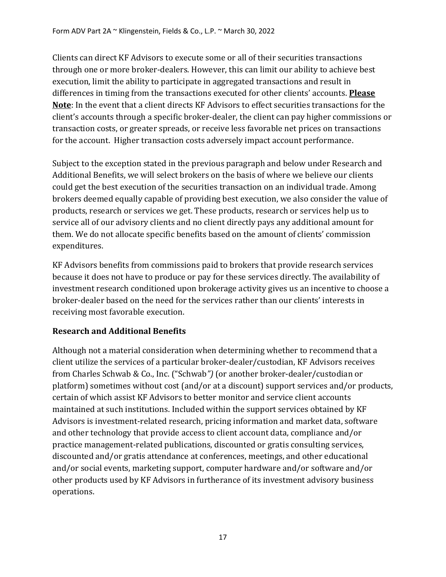Clients can direct KF Advisors to execute some or all of their securities transactions through one or more broker-dealers. However, this can limit our ability to achieve best execution, limit the ability to participate in aggregated transactions and result in differences in timing from the transactions executed for other clients' accounts. **Please Note**: In the event that a client directs KF Advisors to effect securities transactions for the client's accounts through a specific broker-dealer, the client can pay higher commissions or transaction costs, or greater spreads, or receive less favorable net prices on transactions for the account. Higher transaction costs adversely impact account performance.

Subject to the exception stated in the previous paragraph and below under Research and Additional Benefits, we will select brokers on the basis of where we believe our clients could get the best execution of the securities transaction on an individual trade. Among brokers deemed equally capable of providing best execution, we also consider the value of products, research or services we get. These products, research or services help us to service all of our advisory clients and no client directly pays any additional amount for them. We do not allocate specific benefits based on the amount of clients' commission expenditures.

KF Advisors benefits from commissions paid to brokers that provide research services because it does not have to produce or pay for these services directly. The availability of investment research conditioned upon brokerage activity gives us an incentive to choose a broker-dealer based on the need for the services rather than our clients' interests in receiving most favorable execution.

# **Research and Additional Benefits**

Although not a material consideration when determining whether to recommend that a client utilize the services of a particular broker-dealer/custodian, KF Advisors receives from Charles Schwab & Co., Inc. ("Schwab*")* (or another broker-dealer/custodian or platform) sometimes without cost (and/or at a discount) support services and/or products, certain of which assist KF Advisors to better monitor and service client accounts maintained at such institutions. Included within the support services obtained by KF Advisors is investment-related research, pricing information and market data, software and other technology that provide access to client account data, compliance and/or practice management-related publications, discounted or gratis consulting services, discounted and/or gratis attendance at conferences, meetings, and other educational and/or social events, marketing support, computer hardware and/or software and/or other products used by KF Advisors in furtherance of its investment advisory business operations.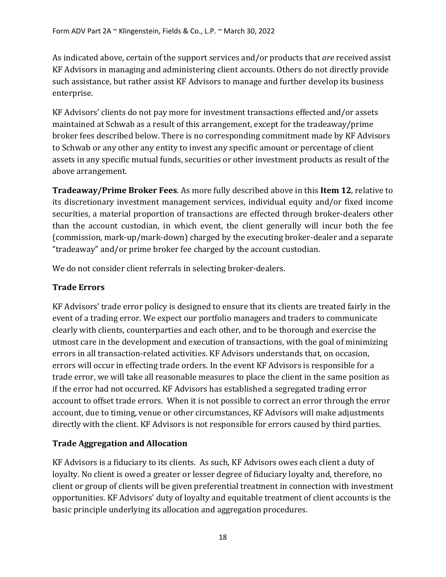As indicated above, certain of the support services and/or products that *are* received assist KF Advisors in managing and administering client accounts. Others do not directly provide such assistance, but rather assist KF Advisors to manage and further develop its business enterprise.

KF Advisors' clients do not pay more for investment transactions effected and/or assets maintained at Schwab as a result of this arrangement, except for the tradeaway/prime broker fees described below. There is no corresponding commitment made by KF Advisors to Schwab or any other any entity to invest any specific amount or percentage of client assets in any specific mutual funds, securities or other investment products as result of the above arrangement.

**Tradeaway/Prime Broker Fees**. As more fully described above in this **Item 12**, relative to its discretionary investment management services, individual equity and/or fixed income securities, a material proportion of transactions are effected through broker-dealers other than the account custodian, in which event, the client generally will incur both the fee (commission, mark-up/mark-down) charged by the executing broker-dealer and a separate "tradeaway" and/or prime broker fee charged by the account custodian.

We do not consider client referrals in selecting broker-dealers.

## **Trade Errors**

KF Advisors' trade error policy is designed to ensure that its clients are treated fairly in the event of a trading error. We expect our portfolio managers and traders to communicate clearly with clients, counterparties and each other, and to be thorough and exercise the utmost care in the development and execution of transactions, with the goal of minimizing errors in all transaction-related activities. KF Advisors understands that, on occasion, errors will occur in effecting trade orders. In the event KF Advisors is responsible for a trade error, we will take all reasonable measures to place the client in the same position as if the error had not occurred. KF Advisors has established a segregated trading error account to offset trade errors. When it is not possible to correct an error through the error account, due to timing, venue or other circumstances, KF Advisors will make adjustments directly with the client. KF Advisors is not responsible for errors caused by third parties.

#### **Trade Aggregation and Allocation**

KF Advisors is a fiduciary to its clients. As such, KF Advisors owes each client a duty of loyalty. No client is owed a greater or lesser degree of fiduciary loyalty and, therefore, no client or group of clients will be given preferential treatment in connection with investment opportunities. KF Advisors' duty of loyalty and equitable treatment of client accounts is the basic principle underlying its allocation and aggregation procedures.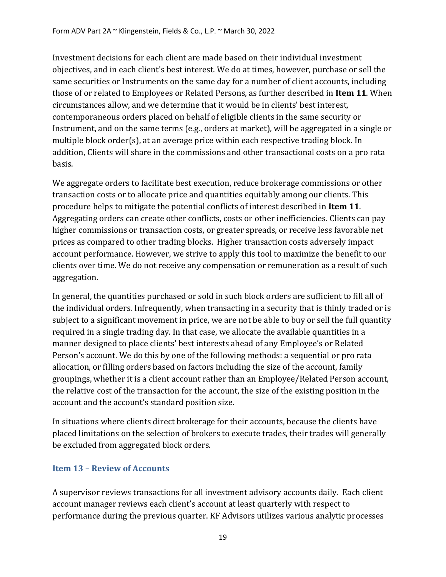Investment decisions for each client are made based on their individual investment objectives, and in each client's best interest. We do at times, however, purchase or sell the same securities or Instruments on the same day for a number of client accounts, including those of or related to Employees or Related Persons, as further described in **Item 11**. When circumstances allow, and we determine that it would be in clients' best interest, contemporaneous orders placed on behalf of eligible clients in the same security or Instrument, and on the same terms (e.g., orders at market), will be aggregated in a single or multiple block order(s), at an average price within each respective trading block. In addition, Clients will share in the commissions and other transactional costs on a pro rata basis.

We aggregate orders to facilitate best execution, reduce brokerage commissions or other transaction costs or to allocate price and quantities equitably among our clients. This procedure helps to mitigate the potential conflicts of interest described in **Item 11**. Aggregating orders can create other conflicts, costs or other inefficiencies. Clients can pay higher commissions or transaction costs, or greater spreads, or receive less favorable net prices as compared to other trading blocks. Higher transaction costs adversely impact account performance. However, we strive to apply this tool to maximize the benefit to our clients over time. We do not receive any compensation or remuneration as a result of such aggregation.

In general, the quantities purchased or sold in such block orders are sufficient to fill all of the individual orders. Infrequently, when transacting in a security that is thinly traded or is subject to a significant movement in price, we are not be able to buy or sell the full quantity required in a single trading day. In that case, we allocate the available quantities in a manner designed to place clients' best interests ahead of any Employee's or Related Person's account. We do this by one of the following methods: a sequential or pro rata allocation, or filling orders based on factors including the size of the account, family groupings, whether it is a client account rather than an Employee/Related Person account, the relative cost of the transaction for the account, the size of the existing position in the account and the account's standard position size.

In situations where clients direct brokerage for their accounts, because the clients have placed limitations on the selection of brokers to execute trades, their trades will generally be excluded from aggregated block orders.

#### <span id="page-21-0"></span>**Item 13 – Review of Accounts**

A supervisor reviews transactions for all investment advisory accounts daily. Each client account manager reviews each client's account at least quarterly with respect to performance during the previous quarter. KF Advisors utilizes various analytic processes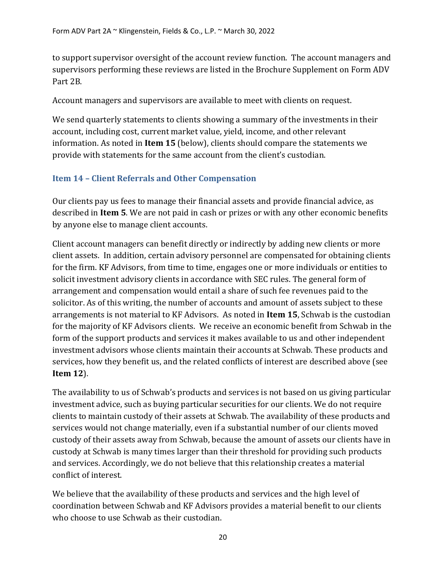to support supervisor oversight of the account review function. The account managers and supervisors performing these reviews are listed in the Brochure Supplement on Form ADV Part 2B.

Account managers and supervisors are available to meet with clients on request.

We send quarterly statements to clients showing a summary of the investments in their account, including cost, current market value, yield, income, and other relevant information. As noted in **Item 15** (below), clients should compare the statements we provide with statements for the same account from the client's custodian.

# <span id="page-22-0"></span>**Item 14 – Client Referrals and Other Compensation**

Our clients pay us fees to manage their financial assets and provide financial advice, as described in **Item 5**. We are not paid in cash or prizes or with any other economic benefits by anyone else to manage client accounts.

Client account managers can benefit directly or indirectly by adding new clients or more client assets. In addition, certain advisory personnel are compensated for obtaining clients for the firm. KF Advisors, from time to time, engages one or more individuals or entities to solicit investment advisory clients in accordance with SEC rules. The general form of arrangement and compensation would entail a share of such fee revenues paid to the solicitor. As of this writing, the number of accounts and amount of assets subject to these arrangements is not material to KF Advisors. As noted in **Item 15**, Schwab is the custodian for the majority of KF Advisors clients. We receive an economic benefit from Schwab in the form of the support products and services it makes available to us and other independent investment advisors whose clients maintain their accounts at Schwab. These products and services, how they benefit us, and the related conflicts of interest are described above (see **Item 12**).

The availability to us of Schwab's products and services is not based on us giving particular investment advice, such as buying particular securities for our clients. We do not require clients to maintain custody of their assets at Schwab. The availability of these products and services would not change materially, even if a substantial number of our clients moved custody of their assets away from Schwab, because the amount of assets our clients have in custody at Schwab is many times larger than their threshold for providing such products and services. Accordingly, we do not believe that this relationship creates a material conflict of interest.

We believe that the availability of these products and services and the high level of coordination between Schwab and KF Advisors provides a material benefit to our clients who choose to use Schwab as their custodian.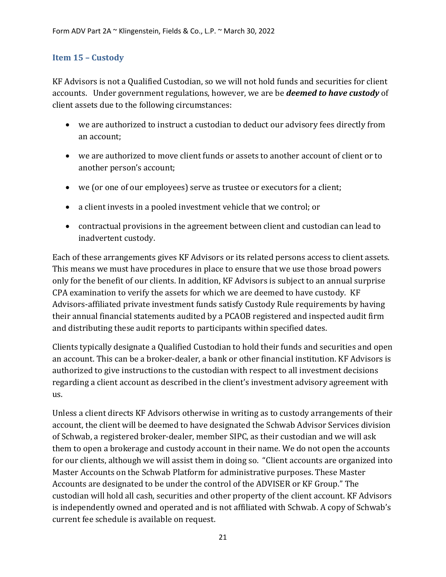## <span id="page-23-0"></span>**Item 15 – Custody**

KF Advisors is not a Qualified Custodian, so we will not hold funds and securities for client accounts. Under government regulations, however, we are be *deemed to have custody* of client assets due to the following circumstances:

- we are authorized to instruct a custodian to deduct our advisory fees directly from an account;
- we are authorized to move client funds or assets to another account of client or to another person's account;
- we (or one of our employees) serve as trustee or executors for a client;
- a client invests in a pooled investment vehicle that we control; or
- contractual provisions in the agreement between client and custodian can lead to inadvertent custody.

Each of these arrangements gives KF Advisors or its related persons access to client assets. This means we must have procedures in place to ensure that we use those broad powers only for the benefit of our clients. In addition, KF Advisors is subject to an annual surprise CPA examination to verify the assets for which we are deemed to have custody. KF Advisors-affiliated private investment funds satisfy Custody Rule requirements by having their annual financial statements audited by a PCAOB registered and inspected audit firm and distributing these audit reports to participants within specified dates.

Clients typically designate a Qualified Custodian to hold their funds and securities and open an account. This can be a broker-dealer, a bank or other financial institution. KF Advisors is authorized to give instructions to the custodian with respect to all investment decisions regarding a client account as described in the client's investment advisory agreement with us.

Unless a client directs KF Advisors otherwise in writing as to custody arrangements of their account, the client will be deemed to have designated the Schwab Advisor Services division of Schwab, a registered broker-dealer, member SIPC, as their custodian and we will ask them to open a brokerage and custody account in their name. We do not open the accounts for our clients, although we will assist them in doing so. "Client accounts are organized into Master Accounts on the Schwab Platform for administrative purposes. These Master Accounts are designated to be under the control of the ADVISER or KF Group." The custodian will hold all cash, securities and other property of the client account. KF Advisors is independently owned and operated and is not affiliated with Schwab. A copy of Schwab's current fee schedule is available on request.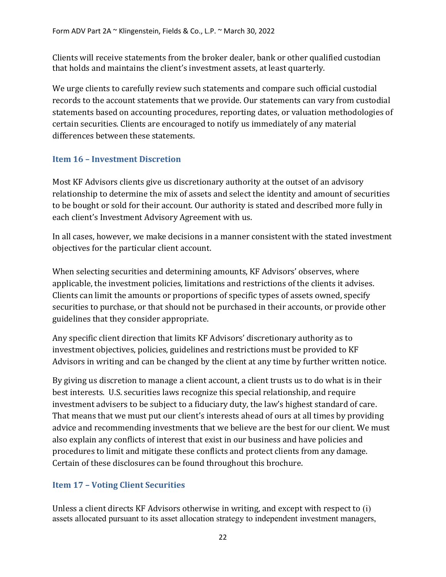Clients will receive statements from the broker dealer, bank or other qualified custodian that holds and maintains the client's investment assets, at least quarterly.

We urge clients to carefully review such statements and compare such official custodial records to the account statements that we provide. Our statements can vary from custodial statements based on accounting procedures, reporting dates, or valuation methodologies of certain securities. Clients are encouraged to notify us immediately of any material differences between these statements.

## <span id="page-24-0"></span>**Item 16 – Investment Discretion**

Most KF Advisors clients give us discretionary authority at the outset of an advisory relationship to determine the mix of assets and select the identity and amount of securities to be bought or sold for their account. Our authority is stated and described more fully in each client's Investment Advisory Agreement with us.

In all cases, however, we make decisions in a manner consistent with the stated investment objectives for the particular client account.

When selecting securities and determining amounts, KF Advisors' observes, where applicable, the investment policies, limitations and restrictions of the clients it advises. Clients can limit the amounts or proportions of specific types of assets owned, specify securities to purchase, or that should not be purchased in their accounts, or provide other guidelines that they consider appropriate.

Any specific client direction that limits KF Advisors' discretionary authority as to investment objectives, policies, guidelines and restrictions must be provided to KF Advisors in writing and can be changed by the client at any time by further written notice.

By giving us discretion to manage a client account, a client trusts us to do what is in their best interests. U.S. securities laws recognize this special relationship, and require investment advisers to be subject to a fiduciary duty, the law's highest standard of care. That means that we must put our client's interests ahead of ours at all times by providing advice and recommending investments that we believe are the best for our client. We must also explain any conflicts of interest that exist in our business and have policies and procedures to limit and mitigate these conflicts and protect clients from any damage. Certain of these disclosures can be found throughout this brochure.

# <span id="page-24-1"></span>**Item 17 – Voting Client Securities**

Unless a client directs KF Advisors otherwise in writing, and except with respect to (i) assets allocated pursuant to its asset allocation strategy to independent investment managers,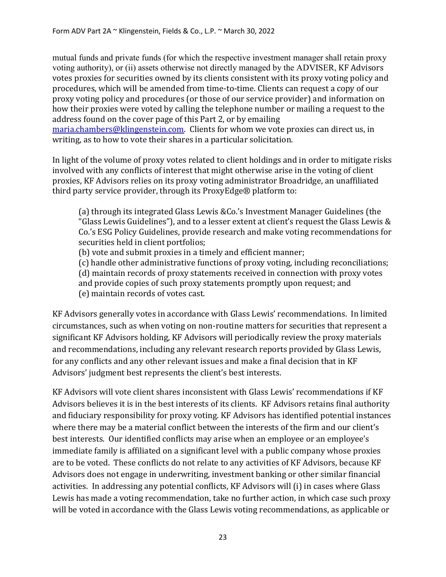mutual funds and private funds (for which the respective investment manager shall retain proxy voting authority), or (ii) assets otherwise not directly managed by the ADVISER, KF Advisors votes proxies for securities owned by its clients consistent with its proxy voting policy and procedures, which will be amended from time-to-time. Clients can request a copy of our proxy voting policy and procedures (or those of our service provider) and information on how their proxies were voted by calling the telephone number or mailing a request to the address found on the cover page of this Part 2, or by emailing [maria.chambers@klingenstein.com.](mailto:info@klingenstein.com) Clients for whom we vote proxies can direct us, in writing, as to how to vote their shares in a particular solicitation.

In light of the volume of proxy votes related to client holdings and in order to mitigate risks involved with any conflicts of interest that might otherwise arise in the voting of client proxies, KF Advisors relies on its proxy voting administrator Broadridge, an unaffiliated third party service provider, through its ProxyEdge® platform to:

(a) through its integrated Glass Lewis &Co.'s Investment Manager Guidelines (the "Glass Lewis Guidelines"), and to a lesser extent at client's request the Glass Lewis & Co.'s ESG Policy Guidelines, provide research and make voting recommendations for securities held in client portfolios;

(b) vote and submit proxies in a timely and efficient manner;

(c) handle other administrative functions of proxy voting, including reconciliations;

(d) maintain records of proxy statements received in connection with proxy votes

and provide copies of such proxy statements promptly upon request; and (e) maintain records of votes cast.

KF Advisors generally votes in accordance with Glass Lewis' recommendations. In limited circumstances, such as when voting on non-routine matters for securities that represent a significant KF Advisors holding, KF Advisors will periodically review the proxy materials and recommendations, including any relevant research reports provided by Glass Lewis, for any conflicts and any other relevant issues and make a final decision that in KF Advisors' judgment best represents the client's best interests.

KF Advisors will vote client shares inconsistent with Glass Lewis' recommendations if KF Advisors believes it is in the best interests of its clients. KF Advisors retains final authority and fiduciary responsibility for proxy voting. KF Advisors has identified potential instances where there may be a material conflict between the interests of the firm and our client's best interests. Our identified conflicts may arise when an employee or an employee's immediate family is affiliated on a significant level with a public company whose proxies are to be voted. These conflicts do not relate to any activities of KF Advisors, because KF Advisors does not engage in underwriting, investment banking or other similar financial activities. In addressing any potential conflicts, KF Advisors will (i) in cases where Glass Lewis has made a voting recommendation, take no further action, in which case such proxy will be voted in accordance with the Glass Lewis voting recommendations, as applicable or